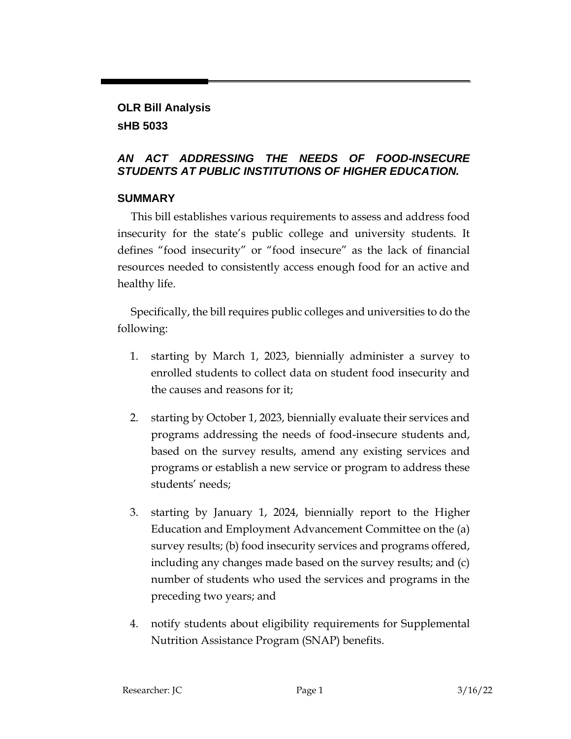## **OLR Bill Analysis sHB 5033**

### *AN ACT ADDRESSING THE NEEDS OF FOOD-INSECURE STUDENTS AT PUBLIC INSTITUTIONS OF HIGHER EDUCATION.*

## **SUMMARY**

This bill establishes various requirements to assess and address food insecurity for the state's public college and university students. It defines "food insecurity" or "food insecure" as the lack of financial resources needed to consistently access enough food for an active and healthy life.

Specifically, the bill requires public colleges and universities to do the following:

- 1. starting by March 1, 2023, biennially administer a survey to enrolled students to collect data on student food insecurity and the causes and reasons for it;
- 2. starting by October 1, 2023, biennially evaluate their services and programs addressing the needs of food-insecure students and, based on the survey results, amend any existing services and programs or establish a new service or program to address these students' needs;
- 3. starting by January 1, 2024, biennially report to the Higher Education and Employment Advancement Committee on the (a) survey results; (b) food insecurity services and programs offered, including any changes made based on the survey results; and (c) number of students who used the services and programs in the preceding two years; and
- 4. notify students about eligibility requirements for Supplemental Nutrition Assistance Program (SNAP) benefits.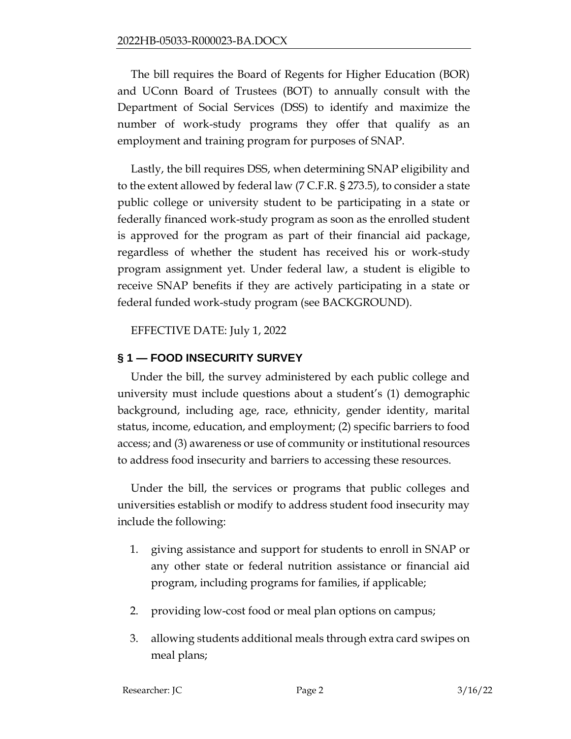The bill requires the Board of Regents for Higher Education (BOR) and UConn Board of Trustees (BOT) to annually consult with the Department of Social Services (DSS) to identify and maximize the number of work-study programs they offer that qualify as an employment and training program for purposes of SNAP.

Lastly, the bill requires DSS, when determining SNAP eligibility and to the extent allowed by federal law (7 C.F.R. § 273.5), to consider a state public college or university student to be participating in a state or federally financed work-study program as soon as the enrolled student is approved for the program as part of their financial aid package, regardless of whether the student has received his or work-study program assignment yet. Under federal law, a student is eligible to receive SNAP benefits if they are actively participating in a state or federal funded work-study program (see BACKGROUND).

EFFECTIVE DATE: July 1, 2022

# **§ 1 — FOOD INSECURITY SURVEY**

Under the bill, the survey administered by each public college and university must include questions about a student's (1) demographic background, including age, race, ethnicity, gender identity, marital status, income, education, and employment; (2) specific barriers to food access; and (3) awareness or use of community or institutional resources to address food insecurity and barriers to accessing these resources.

Under the bill, the services or programs that public colleges and universities establish or modify to address student food insecurity may include the following:

- 1. giving assistance and support for students to enroll in SNAP or any other state or federal nutrition assistance or financial aid program, including programs for families, if applicable;
- 2. providing low-cost food or meal plan options on campus;
- 3. allowing students additional meals through extra card swipes on meal plans;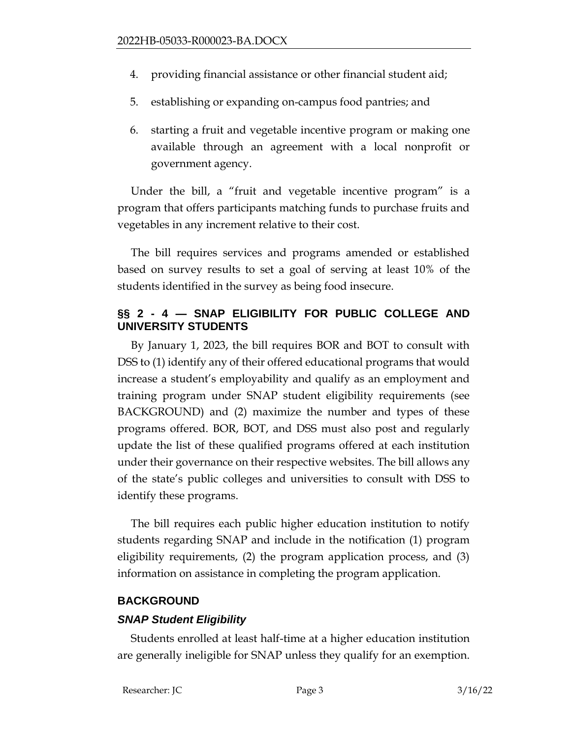- 4. providing financial assistance or other financial student aid;
- 5. establishing or expanding on-campus food pantries; and
- 6. starting a fruit and vegetable incentive program or making one available through an agreement with a local nonprofit or government agency.

Under the bill, a "fruit and vegetable incentive program" is a program that offers participants matching funds to purchase fruits and vegetables in any increment relative to their cost.

The bill requires services and programs amended or established based on survey results to set a goal of serving at least 10% of the students identified in the survey as being food insecure.

### **§§ 2 - 4 — SNAP ELIGIBILITY FOR PUBLIC COLLEGE AND UNIVERSITY STUDENTS**

By January 1, 2023, the bill requires BOR and BOT to consult with DSS to (1) identify any of their offered educational programs that would increase a student's employability and qualify as an employment and training program under SNAP student eligibility requirements (see BACKGROUND) and (2) maximize the number and types of these programs offered. BOR, BOT, and DSS must also post and regularly update the list of these qualified programs offered at each institution under their governance on their respective websites. The bill allows any of the state's public colleges and universities to consult with DSS to identify these programs.

The bill requires each public higher education institution to notify students regarding SNAP and include in the notification (1) program eligibility requirements, (2) the program application process, and (3) information on assistance in completing the program application.

### **BACKGROUND**

### *SNAP Student Eligibility*

Students enrolled at least half-time at a higher education institution are generally ineligible for SNAP unless they qualify for an exemption.